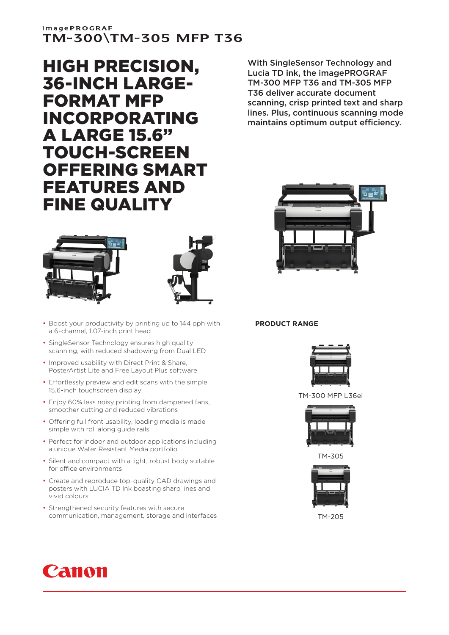# **imagePROGRAF** TM-300\TM-305 MFP T36

HIGH PRECISION, 36-INCH LARGE-FORMAT MFP INCORPORATING A LARGE 15.6" TOUCH-SCREEN OFFERING SMART FEATURES AND FINE QUALITY





- Boost your productivity by printing up to 144 pph with a 6-channel, 1.07-inch print head
- SingleSensor Technology ensures high quality scanning, with reduced shadowing from Dual LED
- Improved usability with Direct Print & Share, PosterArtist Lite and Free Layout Plus software
- Effortlessly preview and edit scans with the simple 15.6-inch touchscreen display
- Enjoy 60% less noisy printing from dampened fans, smoother cutting and reduced vibrations
- Offering full front usability, loading media is made simple with roll along guide rails
- Perfect for indoor and outdoor applications including a unique Water Resistant Media portfolio
- Silent and compact with a light, robust body suitable for office environments
- Create and reproduce top-quality CAD drawings and posters with LUCIA TD Ink boasting sharp lines and vivid colours
- Strengthened security features with secure communication, management, storage and interfaces





## **PRODUCT RANGE**



TM-300 MFP L36ei



TM-305



TM-205